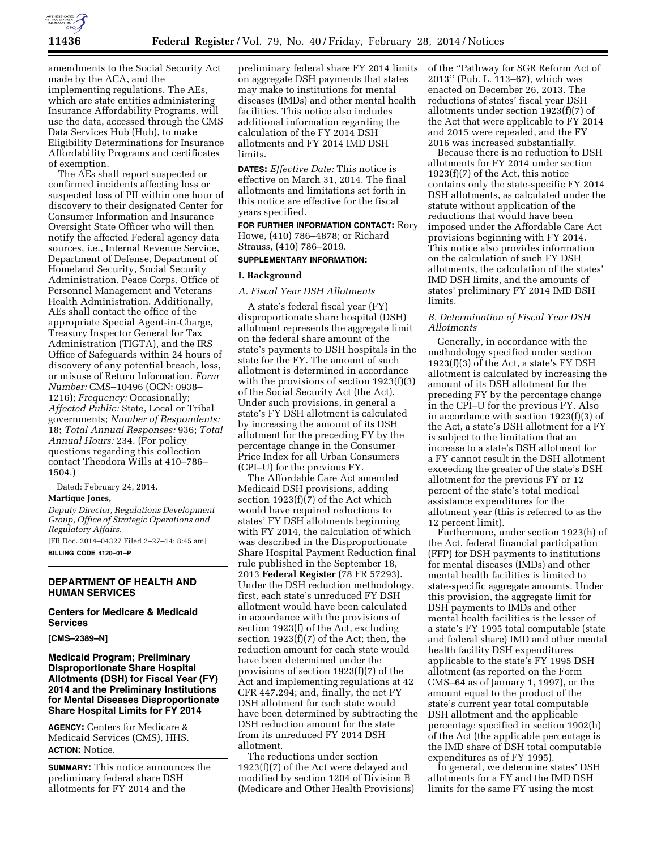

amendments to the Social Security Act made by the ACA, and the implementing regulations. The AEs, which are state entities administering Insurance Affordability Programs, will use the data, accessed through the CMS Data Services Hub (Hub), to make Eligibility Determinations for Insurance Affordability Programs and certificates of exemption.

The AEs shall report suspected or confirmed incidents affecting loss or suspected loss of PII within one hour of discovery to their designated Center for Consumer Information and Insurance Oversight State Officer who will then notify the affected Federal agency data sources, i.e., Internal Revenue Service, Department of Defense, Department of Homeland Security, Social Security Administration, Peace Corps, Office of Personnel Management and Veterans Health Administration. Additionally, AEs shall contact the office of the appropriate Special Agent-in-Charge, Treasury Inspector General for Tax Administration (TIGTA), and the IRS Office of Safeguards within 24 hours of discovery of any potential breach, loss, or misuse of Return Information. *Form Number:* CMS–10496 (OCN: 0938– 1216); *Frequency:* Occasionally; *Affected Public:* State, Local or Tribal governments; *Number of Respondents:*  18; *Total Annual Responses:* 936; *Total Annual Hours:* 234. (For policy questions regarding this collection contact Theodora Wills at 410–786– 1504.)

Dated: February 24, 2014.

#### **Martique Jones,**

*Deputy Director, Regulations Development Group, Office of Strategic Operations and Regulatory Affairs.* 

[FR Doc. 2014–04327 Filed 2–27–14; 8:45 am] **BILLING CODE 4120–01–P** 

# **DEPARTMENT OF HEALTH AND HUMAN SERVICES**

# **Centers for Medicare & Medicaid Services**

**[CMS–2389–N]** 

## **Medicaid Program; Preliminary Disproportionate Share Hospital Allotments (DSH) for Fiscal Year (FY) 2014 and the Preliminary Institutions for Mental Diseases Disproportionate Share Hospital Limits for FY 2014**

**AGENCY:** Centers for Medicare & Medicaid Services (CMS), HHS. **ACTION:** Notice.

**SUMMARY:** This notice announces the preliminary federal share DSH allotments for FY 2014 and the

preliminary federal share FY 2014 limits on aggregate DSH payments that states may make to institutions for mental diseases (IMDs) and other mental health facilities. This notice also includes additional information regarding the calculation of the FY 2014 DSH allotments and FY 2014 IMD DSH limits.

**DATES:** *Effective Date:* This notice is effective on March 31, 2014. The final allotments and limitations set forth in this notice are effective for the fiscal years specified.

**FOR FURTHER INFORMATION CONTACT:** Rory Howe, (410) 786–4878; or Richard Strauss, (410) 786–2019.

## **SUPPLEMENTARY INFORMATION:**

## **I. Background**

## *A. Fiscal Year DSH Allotments*

A state's federal fiscal year (FY) disproportionate share hospital (DSH) allotment represents the aggregate limit on the federal share amount of the state's payments to DSH hospitals in the state for the FY. The amount of such allotment is determined in accordance with the provisions of section 1923(f)(3) of the Social Security Act (the Act). Under such provisions, in general a state's FY DSH allotment is calculated by increasing the amount of its DSH allotment for the preceding FY by the percentage change in the Consumer Price Index for all Urban Consumers (CPI–U) for the previous FY.

The Affordable Care Act amended Medicaid DSH provisions, adding section 1923(f)(7) of the Act which would have required reductions to states' FY DSH allotments beginning with FY 2014, the calculation of which was described in the Disproportionate Share Hospital Payment Reduction final rule published in the September 18, 2013 **Federal Register** (78 FR 57293). Under the DSH reduction methodology, first, each state's unreduced FY DSH allotment would have been calculated in accordance with the provisions of section 1923(f) of the Act, excluding section 1923(f)(7) of the Act; then, the reduction amount for each state would have been determined under the provisions of section 1923(f)(7) of the Act and implementing regulations at 42 CFR 447.294; and, finally, the net FY DSH allotment for each state would have been determined by subtracting the DSH reduction amount for the state from its unreduced FY 2014 DSH allotment.

The reductions under section 1923(f)(7) of the Act were delayed and modified by section 1204 of Division B (Medicare and Other Health Provisions) of the ''Pathway for SGR Reform Act of 2013'' (Pub. L. 113–67), which was enacted on December 26, 2013. The reductions of states' fiscal year DSH allotments under section 1923(f)(7) of the Act that were applicable to FY 2014 and 2015 were repealed, and the FY 2016 was increased substantially.

Because there is no reduction to DSH allotments for FY 2014 under section 1923(f)(7) of the Act, this notice contains only the state-specific FY 2014 DSH allotments, as calculated under the statute without application of the reductions that would have been imposed under the Affordable Care Act provisions beginning with FY 2014. This notice also provides information on the calculation of such FY DSH allotments, the calculation of the states' IMD DSH limits, and the amounts of states' preliminary FY 2014 IMD DSH limits.

## *B. Determination of Fiscal Year DSH Allotments*

Generally, in accordance with the methodology specified under section 1923(f)(3) of the Act, a state's FY DSH allotment is calculated by increasing the amount of its DSH allotment for the preceding FY by the percentage change in the CPI–U for the previous FY. Also in accordance with section 1923(f)(3) of the Act, a state's DSH allotment for a FY is subject to the limitation that an increase to a state's DSH allotment for a FY cannot result in the DSH allotment exceeding the greater of the state's DSH allotment for the previous FY or 12 percent of the state's total medical assistance expenditures for the allotment year (this is referred to as the 12 percent limit).

Furthermore, under section 1923(h) of the Act, federal financial participation (FFP) for DSH payments to institutions for mental diseases (IMDs) and other mental health facilities is limited to state-specific aggregate amounts. Under this provision, the aggregate limit for DSH payments to IMDs and other mental health facilities is the lesser of a state's FY 1995 total computable (state and federal share) IMD and other mental health facility DSH expenditures applicable to the state's FY 1995 DSH allotment (as reported on the Form CMS–64 as of January 1, 1997), or the amount equal to the product of the state's current year total computable DSH allotment and the applicable percentage specified in section 1902(h) of the Act (the applicable percentage is the IMD share of DSH total computable expenditures as of FY 1995).

In general, we determine states' DSH allotments for a FY and the IMD DSH limits for the same FY using the most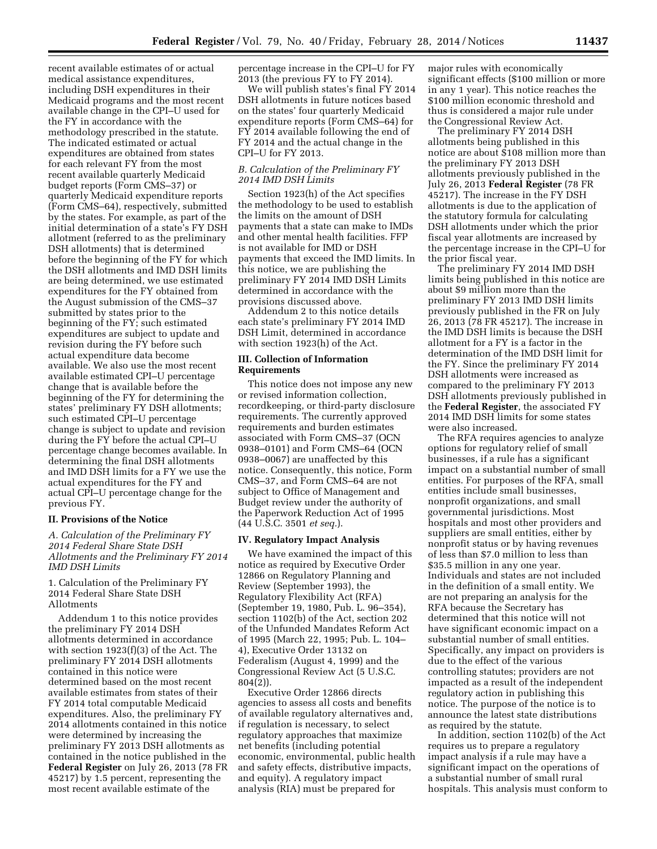recent available estimates of or actual medical assistance expenditures, including DSH expenditures in their Medicaid programs and the most recent available change in the CPI–U used for the FY in accordance with the methodology prescribed in the statute. The indicated estimated or actual expenditures are obtained from states for each relevant FY from the most recent available quarterly Medicaid budget reports (Form CMS–37) or quarterly Medicaid expenditure reports (Form CMS–64), respectively, submitted by the states. For example, as part of the initial determination of a state's FY DSH allotment (referred to as the preliminary DSH allotments) that is determined before the beginning of the FY for which the DSH allotments and IMD DSH limits are being determined, we use estimated expenditures for the FY obtained from the August submission of the CMS–37 submitted by states prior to the beginning of the FY; such estimated expenditures are subject to update and revision during the FY before such actual expenditure data become available. We also use the most recent available estimated CPI–U percentage change that is available before the beginning of the FY for determining the states' preliminary FY DSH allotments; such estimated CPI–U percentage change is subject to update and revision during the FY before the actual CPI–U percentage change becomes available. In determining the final DSH allotments and IMD DSH limits for a FY we use the actual expenditures for the FY and actual CPI–U percentage change for the previous FY.

## **II. Provisions of the Notice**

# *A. Calculation of the Preliminary FY 2014 Federal Share State DSH Allotments and the Preliminary FY 2014 IMD DSH Limits*

1. Calculation of the Preliminary FY 2014 Federal Share State DSH Allotments

Addendum 1 to this notice provides the preliminary FY 2014 DSH allotments determined in accordance with section 1923(f)(3) of the Act. The preliminary FY 2014 DSH allotments contained in this notice were determined based on the most recent available estimates from states of their FY 2014 total computable Medicaid expenditures. Also, the preliminary FY 2014 allotments contained in this notice were determined by increasing the preliminary FY 2013 DSH allotments as contained in the notice published in the **Federal Register** on July 26, 2013 (78 FR 45217) by 1.5 percent, representing the most recent available estimate of the

percentage increase in the CPI–U for FY 2013 (the previous FY to FY 2014).

We will publish states's final FY 2014 DSH allotments in future notices based on the states' four quarterly Medicaid expenditure reports (Form CMS–64) for FY 2014 available following the end of FY 2014 and the actual change in the CPI–U for FY 2013.

# *B. Calculation of the Preliminary FY 2014 IMD DSH Limits*

Section 1923(h) of the Act specifies the methodology to be used to establish the limits on the amount of DSH payments that a state can make to IMDs and other mental health facilities. FFP is not available for IMD or DSH payments that exceed the IMD limits. In this notice, we are publishing the preliminary FY 2014 IMD DSH Limits determined in accordance with the provisions discussed above.

Addendum 2 to this notice details each state's preliminary FY 2014 IMD DSH Limit, determined in accordance with section 1923(h) of the Act.

### **III. Collection of Information Requirements**

This notice does not impose any new or revised information collection, recordkeeping, or third-party disclosure requirements. The currently approved requirements and burden estimates associated with Form CMS–37 (OCN 0938–0101) and Form CMS–64 (OCN 0938–0067) are unaffected by this notice. Consequently, this notice, Form CMS–37, and Form CMS–64 are not subject to Office of Management and Budget review under the authority of the Paperwork Reduction Act of 1995 (44 U.S.C. 3501 *et seq.*).

#### **IV. Regulatory Impact Analysis**

We have examined the impact of this notice as required by Executive Order 12866 on Regulatory Planning and Review (September 1993), the Regulatory Flexibility Act (RFA) (September 19, 1980, Pub. L. 96–354), section 1102(b) of the Act, section 202 of the Unfunded Mandates Reform Act of 1995 (March 22, 1995; Pub. L. 104– 4), Executive Order 13132 on Federalism (August 4, 1999) and the Congressional Review Act (5 U.S.C. 804(2)).

Executive Order 12866 directs agencies to assess all costs and benefits of available regulatory alternatives and, if regulation is necessary, to select regulatory approaches that maximize net benefits (including potential economic, environmental, public health and safety effects, distributive impacts, and equity). A regulatory impact analysis (RIA) must be prepared for

major rules with economically significant effects (\$100 million or more in any 1 year). This notice reaches the \$100 million economic threshold and thus is considered a major rule under the Congressional Review Act.

The preliminary FY 2014 DSH allotments being published in this notice are about \$108 million more than the preliminary FY 2013 DSH allotments previously published in the July 26, 2013 **Federal Register** (78 FR 45217). The increase in the FY DSH allotments is due to the application of the statutory formula for calculating DSH allotments under which the prior fiscal year allotments are increased by the percentage increase in the CPI–U for the prior fiscal year.

The preliminary FY 2014 IMD DSH limits being published in this notice are about \$9 million more than the preliminary FY 2013 IMD DSH limits previously published in the FR on July 26, 2013 (78 FR 45217). The increase in the IMD DSH limits is because the DSH allotment for a FY is a factor in the determination of the IMD DSH limit for the FY. Since the preliminary FY 2014 DSH allotments were increased as compared to the preliminary FY 2013 DSH allotments previously published in the **Federal Register**, the associated FY 2014 IMD DSH limits for some states were also increased.

The RFA requires agencies to analyze options for regulatory relief of small businesses, if a rule has a significant impact on a substantial number of small entities. For purposes of the RFA, small entities include small businesses, nonprofit organizations, and small governmental jurisdictions. Most hospitals and most other providers and suppliers are small entities, either by nonprofit status or by having revenues of less than \$7.0 million to less than \$35.5 million in any one year. Individuals and states are not included in the definition of a small entity. We are not preparing an analysis for the RFA because the Secretary has determined that this notice will not have significant economic impact on a substantial number of small entities. Specifically, any impact on providers is due to the effect of the various controlling statutes; providers are not impacted as a result of the independent regulatory action in publishing this notice. The purpose of the notice is to announce the latest state distributions as required by the statute.

In addition, section 1102(b) of the Act requires us to prepare a regulatory impact analysis if a rule may have a significant impact on the operations of a substantial number of small rural hospitals. This analysis must conform to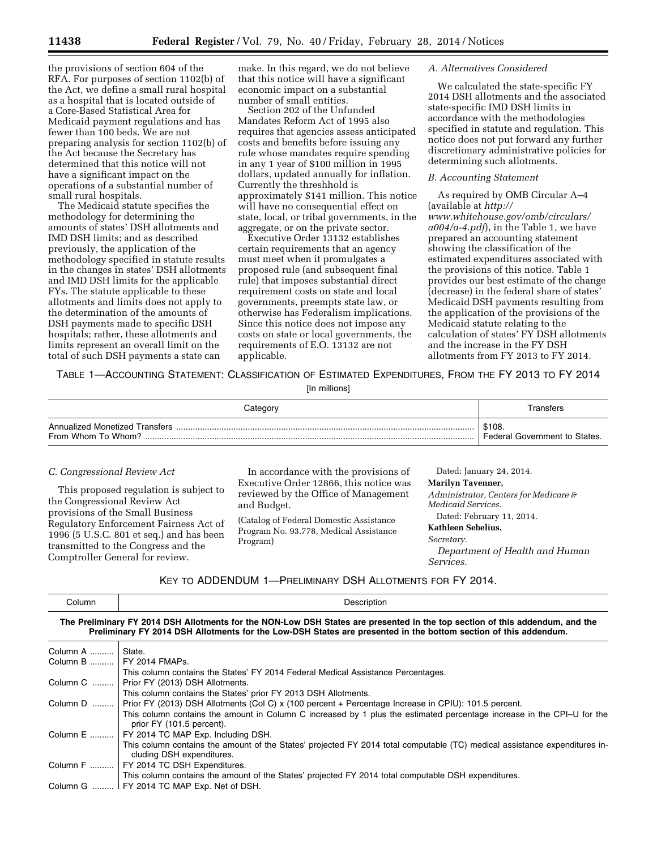the provisions of section 604 of the RFA. For purposes of section 1102(b) of the Act, we define a small rural hospital as a hospital that is located outside of a Core-Based Statistical Area for Medicaid payment regulations and has fewer than 100 beds. We are not preparing analysis for section 1102(b) of the Act because the Secretary has determined that this notice will not have a significant impact on the operations of a substantial number of small rural hospitals.

The Medicaid statute specifies the methodology for determining the amounts of states' DSH allotments and IMD DSH limits; and as described previously, the application of the methodology specified in statute results in the changes in states' DSH allotments and IMD DSH limits for the applicable FYs. The statute applicable to these allotments and limits does not apply to the determination of the amounts of DSH payments made to specific DSH hospitals; rather, these allotments and limits represent an overall limit on the total of such DSH payments a state can

make. In this regard, we do not believe that this notice will have a significant economic impact on a substantial number of small entities.

Section 202 of the Unfunded Mandates Reform Act of 1995 also requires that agencies assess anticipated costs and benefits before issuing any rule whose mandates require spending in any 1 year of \$100 million in 1995 dollars, updated annually for inflation. Currently the threshhold is approximately \$141 million. This notice will have no consequential effect on state, local, or tribal governments, in the aggregate, or on the private sector.

Executive Order 13132 establishes certain requirements that an agency must meet when it promulgates a proposed rule (and subsequent final rule) that imposes substantial direct requirement costs on state and local governments, preempts state law, or otherwise has Federalism implications. Since this notice does not impose any costs on state or local governments, the requirements of E.O. 13132 are not applicable.

### *A. Alternatives Considered*

We calculated the state-specific FY 2014 DSH allotments and the associated state-specific IMD DSH limits in accordance with the methodologies specified in statute and regulation. This notice does not put forward any further discretionary administrative policies for determining such allotments.

# *B. Accounting Statement*

As required by OMB Circular A–4 (available at *[http://](http://www.whitehouse.gov/omb/circulars/a004/a-4.pdf)  [www.whitehouse.gov/omb/circulars/](http://www.whitehouse.gov/omb/circulars/a004/a-4.pdf)  [a004/a-4.pdf](http://www.whitehouse.gov/omb/circulars/a004/a-4.pdf)*), in the Table 1, we have prepared an accounting statement showing the classification of the estimated expenditures associated with the provisions of this notice. Table 1 provides our best estimate of the change (decrease) in the federal share of states' Medicaid DSH payments resulting from the application of the provisions of the Medicaid statute relating to the calculation of states' FY DSH allotments and the increase in the FY DSH allotments from FY 2013 to FY 2014.

TABLE 1—ACCOUNTING STATEMENT: CLASSIFICATION OF ESTIMATED EXPENDITURES, FROM THE FY 2013 TO FY 2014

[In millions]

| Categorv                                             | <sup>r</sup> ansfers                    |
|------------------------------------------------------|-----------------------------------------|
| Annualized Monetized Transfers<br>From Whom To Whom? | \$108.<br>Federal Government to States. |

## *C. Congressional Review Act*

This proposed regulation is subject to the Congressional Review Act provisions of the Small Business Regulatory Enforcement Fairness Act of 1996 (5 U.S.C. 801 et seq.) and has been transmitted to the Congress and the Comptroller General for review.

In accordance with the provisions of Executive Order 12866, this notice was reviewed by the Office of Management and Budget.

(Catalog of Federal Domestic Assistance Program No. 93.778, Medical Assistance Program)

Dated: January 24, 2014. **Marilyn Tavenner,**  *Administrator, Centers for Medicare & Medicaid Services.*  Dated: February 11, 2014. **Kathleen Sebelius,** 

*Secretary.* 

*Department of Health and Human Services.* 

|  |  | KEY TO ADDENDUM 1-PRELIMINARY DSH ALLOTMENTS FOR FY 2014. |
|--|--|-----------------------------------------------------------|
|--|--|-----------------------------------------------------------|

| Column             | Description                                                                                                                                                                                                                                     |
|--------------------|-------------------------------------------------------------------------------------------------------------------------------------------------------------------------------------------------------------------------------------------------|
|                    | The Preliminary FY 2014 DSH Allotments for the NON-Low DSH States are presented in the top section of this addendum, and the<br>Preliminary FY 2014 DSH Allotments for the Low-DSH States are presented in the bottom section of this addendum. |
| Column A    State. |                                                                                                                                                                                                                                                 |
|                    | Column B    FY 2014 FMAPs.                                                                                                                                                                                                                      |
|                    | This column contains the States' FY 2014 Federal Medical Assistance Percentages.                                                                                                                                                                |
|                    | Column C    Prior FY (2013) DSH Allotments.                                                                                                                                                                                                     |
|                    | This column contains the States' prior FY 2013 DSH Allotments.                                                                                                                                                                                  |
|                    | Column D    Prior FY (2013) DSH Allotments (Col C) x (100 percent + Percentage Increase in CPIU): 101.5 percent.                                                                                                                                |
|                    | This column contains the amount in Column C increased by 1 plus the estimated percentage increase in the CPI-U for the<br>prior FY (101.5 percent).                                                                                             |
|                    | Column E    FY 2014 TC MAP Exp. Including DSH.                                                                                                                                                                                                  |
|                    | This column contains the amount of the States' projected FY 2014 total computable (TC) medical assistance expenditures in-<br>cluding DSH expenditures.                                                                                         |
|                    | Column F    FY 2014 TC DSH Expenditures.                                                                                                                                                                                                        |
|                    | This column contains the amount of the States' projected FY 2014 total computable DSH expenditures.                                                                                                                                             |
|                    | Column G    FY 2014 TC MAP Exp. Net of DSH.                                                                                                                                                                                                     |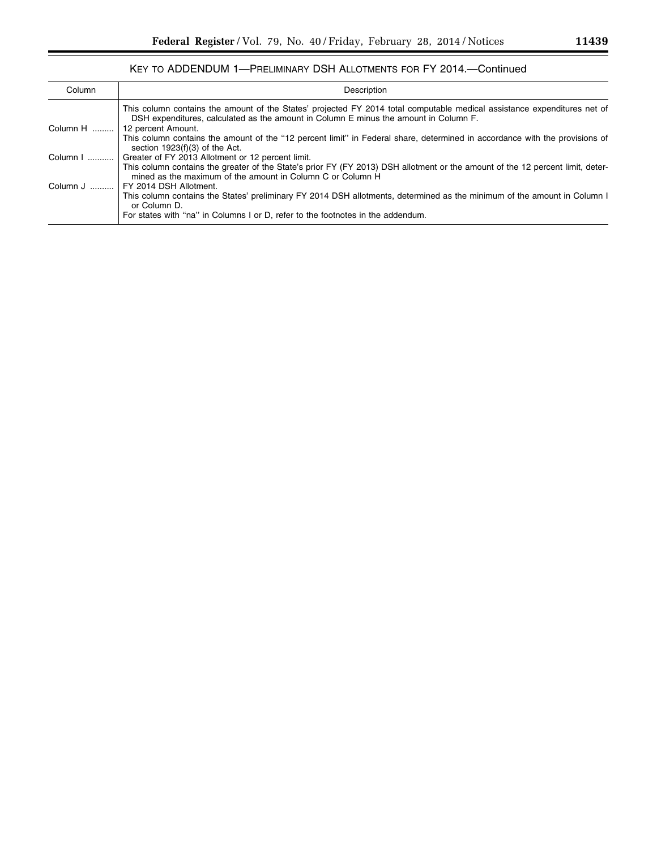# KEY TO ADDENDUM 1—PRELIMINARY DSH ALLOTMENTS FOR FY 2014.—Continued

| Column   | Description                                                                                                                                                                                                      |
|----------|------------------------------------------------------------------------------------------------------------------------------------------------------------------------------------------------------------------|
|          | This column contains the amount of the States' projected FY 2014 total computable medical assistance expenditures net of<br>DSH expenditures, calculated as the amount in Column E minus the amount in Column F. |
| Column H | 12 percent Amount.                                                                                                                                                                                               |
|          | This column contains the amount of the "12 percent limit" in Federal share, determined in accordance with the provisions of<br>section $1923(f)(3)$ of the Act.                                                  |
| Column I | Greater of FY 2013 Allotment or 12 percent limit.                                                                                                                                                                |
|          | This column contains the greater of the State's prior FY (FY 2013) DSH allotment or the amount of the 12 percent limit, deter-<br>mined as the maximum of the amount in Column C or Column H                     |
| Column J | FY 2014 DSH Allotment.                                                                                                                                                                                           |
|          | This column contains the States' preliminary FY 2014 DSH allotments, determined as the minimum of the amount in Column I<br>or Column D.                                                                         |
|          | For states with "na" in Columns I or D, refer to the footnotes in the addendum.                                                                                                                                  |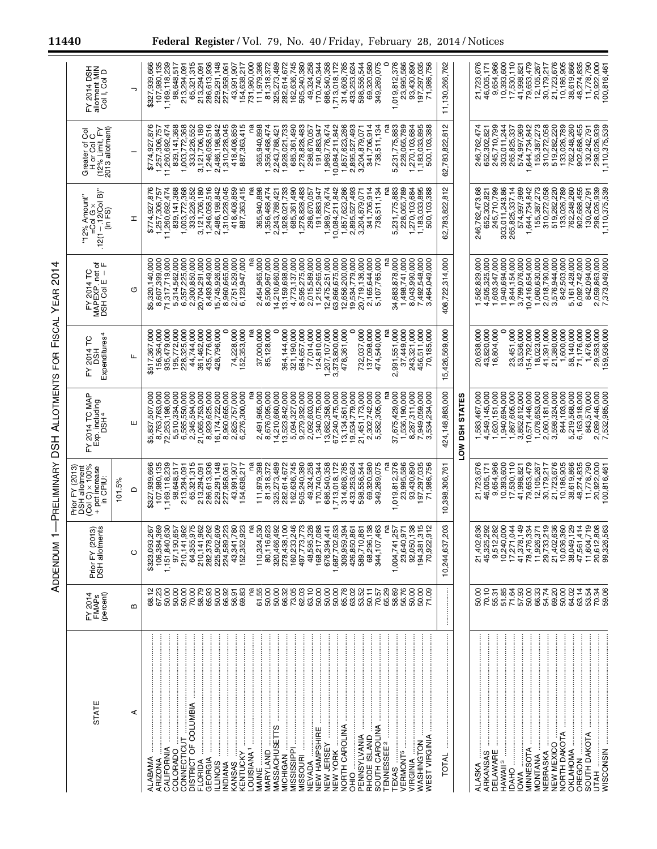| STATE                                                                                                                                                                                                                                                                                                                                                                                                                                                                                                                                                     | FY 2014<br>(percent)<br><b>FMAP<sub>s</sub></b>                          | Prior FY (2013)<br>DSH allotments                            | DSH allotment<br>(Col C) × 100%<br>+ pct increase<br>Prior FY (2013<br>in CPIU | FY 2014 TC MAP<br>b. including<br>DSH <sup>4</sup><br>Exp.                                                                         | FY 2014 TC<br>Expenditures<br>580 | FY 2014 TC<br>MAPEXP. net of<br>DSH Col E – F | â<br>"12% Amount"<br>I – 12/Col I<br>(in FS)<br>$=$ Col G<br>.12(1) | Greater of Col<br>Hor Col C<br>(12% Limit, FY<br>2013 allotment) | FY 2014 DSH<br>allotment MIN<br>Col I, Col D |
|-----------------------------------------------------------------------------------------------------------------------------------------------------------------------------------------------------------------------------------------------------------------------------------------------------------------------------------------------------------------------------------------------------------------------------------------------------------------------------------------------------------------------------------------------------------|--------------------------------------------------------------------------|--------------------------------------------------------------|--------------------------------------------------------------------------------|------------------------------------------------------------------------------------------------------------------------------------|-----------------------------------|-----------------------------------------------|---------------------------------------------------------------------|------------------------------------------------------------------|----------------------------------------------|
|                                                                                                                                                                                                                                                                                                                                                                                                                                                                                                                                                           |                                                                          |                                                              | 101.5%                                                                         |                                                                                                                                    |                                   |                                               |                                                                     |                                                                  |                                              |
| ⋖                                                                                                                                                                                                                                                                                                                                                                                                                                                                                                                                                         | $\mathbf{m}$                                                             | $\circ$                                                      | ≏                                                                              | ш                                                                                                                                  | щ                                 | σ                                             | I                                                                   |                                                                  | っ                                            |
| ALABAMA<br><b>ARIZONA</b>                                                                                                                                                                                                                                                                                                                                                                                                                                                                                                                                 | ន្ទ្រ<br>និងមានមន្ទ្រី<br>ដូងទ្រីន្ទ្រី ដូនទ្រីន្ទ្រី និង                | 369<br>267<br>\$323,093<br>106,384,                          | \$327,939,666<br>107,980,135                                                   | ,507,000<br>\$5,837,                                                                                                               | 156,364,000<br>\$517,367,000      | 8,607,399,000<br>\$5,320,140,000              | \$774,927,876<br>1,257,306,757                                      | 876<br>1,257,306,757<br>\$774,927,                               | 107,980,135<br>\$327,939,666                 |
|                                                                                                                                                                                                                                                                                                                                                                                                                                                                                                                                                           |                                                                          | 630                                                          | 1,169,118,239                                                                  | $\begin{array}{l} 8,763,763,000 \\ 72,253,198,000 \\ 5,510,334,000 \\ 6,585,550,000 \\ 6,585,550,000 \\ 2,345,394,000 \end{array}$ | 935, 479, 000                     | 71,317,719,000                                | 11,260,692,474                                                      | 11,260,692,474                                                   | 1,169,118,239                                |
| COLORADO                                                                                                                                                                                                                                                                                                                                                                                                                                                                                                                                                  |                                                                          | 657                                                          | 98,648,517                                                                     |                                                                                                                                    | 195,772,000                       | 5,314,562,000                                 | 839, 141, 368                                                       | 839,141,368                                                      | 98,648,517                                   |
| CONNECTICUT                                                                                                                                                                                                                                                                                                                                                                                                                                                                                                                                               |                                                                          | 975<br>962<br>1,151,840,6<br>97,190,6<br>210,141,955,955,955 | 213,294,091                                                                    |                                                                                                                                    | 228,325,000                       | 6,357,225,000<br>2,300,850,000                | 1,003,772,368                                                       | 1,003,772,368                                                    | 213,294,09                                   |
|                                                                                                                                                                                                                                                                                                                                                                                                                                                                                                                                                           |                                                                          | 962<br>210,141                                               | 65,321,315<br>213,294,091                                                      | 21,065,753,000                                                                                                                     | 44,744,000<br>361,462,000         | 20,704,291,000                                | 333,226,552<br>3,121,706,180                                        | 333,226,552<br>3,121,706,180                                     | 65,321,315<br>213,294,091                    |
|                                                                                                                                                                                                                                                                                                                                                                                                                                                                                                                                                           |                                                                          | 262<br>282,378                                               | 286,613,936                                                                    | 8,929,625,000                                                                                                                      | 435,776,000                       | 8,493,849,000                                 | 1,246,058,516                                                       | 1,246,058,516                                                    | 286,613,936                                  |
|                                                                                                                                                                                                                                                                                                                                                                                                                                                                                                                                                           |                                                                          | 225,902,                                                     | 229,291,148                                                                    |                                                                                                                                    | 428,796,000                       | 15,745,926,000                                | 486,198,842<br>$\mathbf{a}$                                         | $\frac{2}{3}$<br>,486,198,<br>$\alpha$                           | 229,291,148                                  |
|                                                                                                                                                                                                                                                                                                                                                                                                                                                                                                                                                           |                                                                          | 224,589,<br>43,341,                                          | ,958,061<br><u>ัส</u>                                                          |                                                                                                                                    |                                   | 8,960,665,000<br>2,751,529,000                | 1,310,228,045                                                       | 1,310,228,045                                                    | 227,958,061                                  |
| GEORGIA<br>ILLINOIS<br>ILLINOIS<br>KANSAS<br>KANSAS AT ILLINOIS (MANIS ANGLES CHENERAL ANGLES CHENERAL AND ILLINOIS CHENETS<br>MARYLAND<br>MARYLAND ILLINOIS (MARYLAND ILLINOIS CHENETS ILLINOIS AND ILLINOIS CHENETS ILLINOIS CHENETS ILLINOIS                                                                                                                                                                                                                                                                                                           |                                                                          | ទី <i>ប្ល</i> ័នខ្លី<br>152,352                              | 43,991,907<br>54,638,217                                                       | $\begin{array}{l} 16,174,722,000\\ 8,960,665,000\\ 2,825,757,000\\ 6,276,300,000 \end{array}$                                      | 52,353,000<br>74,228,000          | 6,123,947,000                                 | 418,408,859<br>363,41<br>887                                        | 418,408,859<br>887,363,41                                        | 43,991,907<br>154,638,217                    |
|                                                                                                                                                                                                                                                                                                                                                                                                                                                                                                                                                           | g                                                                        | g                                                            |                                                                                |                                                                                                                                    |                                   |                                               |                                                                     |                                                                  | 731,960,000                                  |
|                                                                                                                                                                                                                                                                                                                                                                                                                                                                                                                                                           |                                                                          | 110,324                                                      | 111,979,398                                                                    | 965.000<br>$\frac{491}{5}$                                                                                                         |                                   |                                               | 898<br>365,940                                                      | 365,940,898                                                      | 111,979,398                                  |
|                                                                                                                                                                                                                                                                                                                                                                                                                                                                                                                                                           |                                                                          | 80,116                                                       | 81,318,372                                                                     | 676,095,000<br>လျ် ထါ                                                                                                              | 37,000,000<br>85,128,000          | 2,454,965,000<br>8,590,967,000                | 1,356,468,47                                                        | 1,356,468,474                                                    | 81,318,372                                   |
|                                                                                                                                                                                                                                                                                                                                                                                                                                                                                                                                                           |                                                                          | <u>និ</u> នី ខ្ញុំ<br>ប្រព័ន្ធ<br>320,466                    | 325,273,489                                                                    | 14,210,660,000                                                                                                                     |                                   | 14,210,660,000                                | 2,243,788,421                                                       | 2,243,788,42                                                     | 325,273,489                                  |
|                                                                                                                                                                                                                                                                                                                                                                                                                                                                                                                                                           |                                                                          | 278,438                                                      | 282,614,672                                                                    | 13,523,842,000<br>5,094,327,000                                                                                                    | 364,144,000                       | 13,159,698,000                                | 1,928,021,733                                                       | 1,928,021,733                                                    | 282,614,672                                  |
|                                                                                                                                                                                                                                                                                                                                                                                                                                                                                                                                                           |                                                                          | <u>័</u> វី /្ភី ងូ និ<br>160,233                            | 162,636,745                                                                    |                                                                                                                                    | 321,190,000                       | 4,773,137,000                                 | 685,361,490                                                         | 685,361,490                                                      | 162,636,745                                  |
|                                                                                                                                                                                                                                                                                                                                                                                                                                                                                                                                                           |                                                                          | 497,773,                                                     | 505,240,380                                                                    | $9,279,932,000$<br>2,092,603,000<br>1,340,075,000                                                                                  | 684,657,000                       | 8,595,275,000                                 | 1,278,828,483                                                       | 1,278,828,483                                                    | 505,240,380                                  |
|                                                                                                                                                                                                                                                                                                                                                                                                                                                                                                                                                           |                                                                          | 48,595                                                       | 49,324,258                                                                     |                                                                                                                                    | 77,014,000                        | 2,015,589,000                                 | 298,670,057                                                         | 298,670,057                                                      | 49,324,258                                   |
|                                                                                                                                                                                                                                                                                                                                                                                                                                                                                                                                                           |                                                                          | 168,217                                                      | 170,740,344                                                                    |                                                                                                                                    | 124,810,000                       | 1,215,265,000                                 | 191,883,947                                                         | 191,883,947                                                      | 170,740,344                                  |
|                                                                                                                                                                                                                                                                                                                                                                                                                                                                                                                                                           |                                                                          | 483<br>676,394,                                              | 686,540,358                                                                    | 13,682,358,000                                                                                                                     | ,207,107,000                      | 12,475,251,000                                | 1,969,776,474                                                       | 1,969,776,474                                                    | 686,540,358<br>713,018,172                   |
|                                                                                                                                                                                                                                                                                                                                                                                                                                                                                                                                                           |                                                                          | .394<br>1,687,702,<br>309,959,                               | 713,018,172<br>314,608,785                                                     | 67,240,475,000<br>13, 134, 561, 000                                                                                                | 3,373,800,000<br>361,000<br>478,  | 63,866,675,000<br>12,656,200,000              | 1,857,623,286<br>10,084,211,842                                     | 10,084,211,842<br>1,857,623,286                                  | 314,608,785                                  |
| OHO                                                                                                                                                                                                                                                                                                                                                                                                                                                                                                                                                       |                                                                          | $-861$<br>426,850                                            | 433,253,624                                                                    |                                                                                                                                    |                                   | 19,534,779,000                                | 2,895,527,493                                                       | ,895,527,493<br>۵Ü                                               | 433,253,624                                  |
|                                                                                                                                                                                                                                                                                                                                                                                                                                                                                                                                                           |                                                                          | $\overline{8}$<br>589,710                                    | 598,556,544                                                                    | 19,534,779,000<br>21,451,173,000                                                                                                   |                                   | 20,719,136,000                                | 3,204,879,07                                                        | ,204,879,07                                                      | 598,556,544                                  |
| RHODE ISLAND                                                                                                                                                                                                                                                                                                                                                                                                                                                                                                                                              |                                                                          | 68,296,138                                                   | 69,320,580                                                                     | 302,742,000<br>Ñ                                                                                                                   | 732,037,000<br>137,098,000        | 2,165,644,000                                 | 341,706,914                                                         | 341,706,914                                                      | 69,320,580                                   |
| MISSISSIPP<br>MISSOURI<br>NEVADA<br>NEW YORK HAMPSHIRE<br>NEW YORK<br>DENISCEY LAND AND HAMPSHIRE<br>PENNESSEE 2<br>SOUTH CAROLINA<br>SOUTH CAROLINA                                                                                                                                                                                                                                                                                                                                                                                                      |                                                                          | ,463<br>344,107                                              | 349.269.075                                                                    | 305,000<br>582.                                                                                                                    | 474,540,000                       | 107,765,000<br>ທ                              | 511,134<br>738,                                                     | 738,511,134                                                      | 349,269,075                                  |
|                                                                                                                                                                                                                                                                                                                                                                                                                                                                                                                                                           |                                                                          | Γã                                                           |                                                                                |                                                                                                                                    |                                   |                                               |                                                                     |                                                                  |                                              |
|                                                                                                                                                                                                                                                                                                                                                                                                                                                                                                                                                           |                                                                          | ,257<br>1,004,741                                            | 1,019,812,376                                                                  | 37,675,429,000                                                                                                                     | 2,991,551,000                     | 34,683,878,000                                | 5,231,775,883                                                       | 5,231,775,883                                                    | 1,019,812,376                                |
|                                                                                                                                                                                                                                                                                                                                                                                                                                                                                                                                                           |                                                                          | $-971$<br>23,640,<br>92,050,                                 | 23,995,586                                                                     | 1,536,190,000                                                                                                                      | 37,449,000                        | 1,498,741,000                                 | 228,065,789                                                         | 228,065,789                                                      | 23,995,586                                   |
|                                                                                                                                                                                                                                                                                                                                                                                                                                                                                                                                                           |                                                                          | ,138                                                         | 93,430,890                                                                     |                                                                                                                                    | 243,321,000                       | 8,043,990,000                                 | 1,270,103,684                                                       | 1,270,103,684                                                    | 93,430,890                                   |
|                                                                                                                                                                                                                                                                                                                                                                                                                                                                                                                                                           | 8<br>8 8 8 8 8<br>8 8 8 8 7                                              | 515<br>516<br>94,381,<br>70,922,                             | 197,297,035<br>1,986,756                                                       |                                                                                                                                    | 456,511,000<br>70,185,000         | ,492,548,000<br>3,464,049,000                 | 1,183,033,895<br>500,103,388                                        | 1,183,033,895<br>500,103,388                                     | 97,297,035<br>71,986,756                     |
|                                                                                                                                                                                                                                                                                                                                                                                                                                                                                                                                                           |                                                                          |                                                              |                                                                                |                                                                                                                                    |                                   |                                               |                                                                     |                                                                  |                                              |
| $\label{def:1} \begin{minipage}{0.9\linewidth} \begin{minipage}{0.9\linewidth} \begin{minipage}{0.9\linewidth} \end{minipage} \begin{minipage}{0.9\linewidth} \begin{minipage}{0.9\linewidth} \end{minipage} \begin{minipage}{0.9\linewidth} \end{minipage} \begin{minipage}{0.9\linewidth} \begin{minipage}{0.9\linewidth} \end{minipage} \begin{minipage}{0.9\linewidth} \end{minipage} \begin{minipage}{0.9\linewidth} \end{minipage} \begin{minipage}{0.9\linewidth} \end{minipage} \begin{minipage}{0.9\linewidth} \end{minipage} \$<br><b>TOTAL</b> |                                                                          | 203<br>10,244,637                                            | 10,398,306,761                                                                 | 424, 148, 883, 000                                                                                                                 | 15,426,569,000                    | 408,722,314,000                               | 62,783,822,812                                                      | 62,783,822,812                                                   | 11, 130, 266, 762                            |
|                                                                                                                                                                                                                                                                                                                                                                                                                                                                                                                                                           |                                                                          |                                                              |                                                                                | <b>STATES</b><br><b>HSG MOT</b>                                                                                                    |                                   |                                               |                                                                     |                                                                  |                                              |
| ALASKA                                                                                                                                                                                                                                                                                                                                                                                                                                                                                                                                                    |                                                                          | 636<br>21,402,                                               | 21,723,676                                                                     | 583,467,000                                                                                                                        |                                   | 1,562,829,000                                 | 246,762,473.68                                                      | 246,762,474                                                      | 21,723,676                                   |
| ARKANSAS                                                                                                                                                                                                                                                                                                                                                                                                                                                                                                                                                  |                                                                          | 292<br>45,325,                                               | 46,005,171                                                                     | 4,549,145,000                                                                                                                      | 20,638,000<br>43,820,000          | 4,505,325,000                                 | 652,302,821                                                         | 652,302,821                                                      | 46,005,171                                   |
|                                                                                                                                                                                                                                                                                                                                                                                                                                                                                                                                                           |                                                                          | 282<br>9,512,<br>10,240,                                     | 9,654,966                                                                      | 1,620,151,000                                                                                                                      | 804,000<br>ڣ                      | ,603,347,000                                  | 245.710.799                                                         | 245,710,799                                                      | 9,654,966                                    |
|                                                                                                                                                                                                                                                                                                                                                                                                                                                                                                                                                           |                                                                          | 000                                                          | 10,393,600                                                                     | 1,940,694,000                                                                                                                      |                                   | ,940,694,000                                  | 303,011,243.86                                                      | 303,011,244                                                      | 10,393,600                                   |
|                                                                                                                                                                                                                                                                                                                                                                                                                                                                                                                                                           |                                                                          | ,149<br>044<br>17,271,                                       | 17,530,110<br>41,998,821                                                       | 1,867,605,000<br>3,852,612,000                                                                                                     | 23,451,000<br>53,536,000          | ,844,154,000<br>3,799,076,000                 | 574,997,969<br>265,825,337.14                                       | 969<br>265,825,337<br>574,997,                                   | 17,530,110<br>41,998,821                     |
|                                                                                                                                                                                                                                                                                                                                                                                                                                                                                                                                                           |                                                                          | 41,378,<br>78,476,                                           | 79,653,479                                                                     | 10,571,446,000                                                                                                                     | 54,792,000                        | 10,416,654,000                                | 1,644,734,842                                                       | 1,644,734,842                                                    | 79,653,479                                   |
| NOWA<br>MINNESOTA<br>MEBRASKA<br>NEW MEXICO<br>NORTH DAKOTA<br>NORTH DAKOTA                                                                                                                                                                                                                                                                                                                                                                                                                                                                               |                                                                          | ុន្ធ <u>ដ</u><br>និង 2<br>11,926,                            | 12,105,267                                                                     | 1,078,653,000                                                                                                                      | 18,023,000                        | 1,060,630,000                                 | 155,387,273                                                         | 155,387,273                                                      | 12,105,267                                   |
|                                                                                                                                                                                                                                                                                                                                                                                                                                                                                                                                                           |                                                                          | 29,733,                                                      | 30,179,217                                                                     | 060,181,000<br>လျ် ကိ                                                                                                              | 41,391,000                        | 2,018,790,000                                 | 310,272,058                                                         | 310,272,058                                                      | 30,179,217                                   |
|                                                                                                                                                                                                                                                                                                                                                                                                                                                                                                                                                           |                                                                          | ,636<br>21,402,<br>10,036,                                   | 21,723,676                                                                     | 598,324,000                                                                                                                        | ,380,000<br>.<br>ম                | 3,576,944,000                                 | 519,282,220                                                         | 519,282,220                                                      | 21,723,676                                   |
|                                                                                                                                                                                                                                                                                                                                                                                                                                                                                                                                                           |                                                                          | ,360                                                         | 10,186,905                                                                     | 844,103,000                                                                                                                        | 1,600,000                         | 842,503,000                                   | 133,026,789                                                         | 133,026,789                                                      | 10,186,905                                   |
| OREGON                                                                                                                                                                                                                                                                                                                                                                                                                                                                                                                                                    |                                                                          | 38,049,129<br>47,561,                                        | 38,619,866<br>48,274,835                                                       | 5,219,568,000<br>6,163,918,000                                                                                                     | 58,140,000<br>71,176,000          | 5,161,428,000<br>6,092,742,000                | 762,248,260<br>902,688,455                                          | 902,688,455<br>762,248,260                                       | 38,619,866<br>48,274,835                     |
|                                                                                                                                                                                                                                                                                                                                                                                                                                                                                                                                                           |                                                                          | $\frac{47}{719}$<br>11,604,                                  | 11,778,790                                                                     | 843,570,000                                                                                                                        | 1,476,000                         | 842,094,000                                   | 130,242,791                                                         | 130,242,791                                                      | 11,778,790                                   |
| SOUTH DAKOTA<br>UTAH                                                                                                                                                                                                                                                                                                                                                                                                                                                                                                                                      | ៜ៎<br>ៜ៎៎៎៎៎៎៎ ឨ៎ ឨ៎ ឨ៎ ឨ៎ ឨ ឨ ឨ ឨ ឨ<br>ៜ៎៎៎ ៎ ឨ ឨ ឨ ឨ ឨ ឨ ឨ ឨ ឨ ឨ ឨ ឨ ឨ | 808<br>20,612,                                               | 20,922,000                                                                     | 089,446,000<br>$\alpha$ $\sim$                                                                                                     | 29,583,000                        | 2,059,863,000                                 | 298,026,939                                                         | 298,026,939                                                      | 20,922,000                                   |
| <b>WISCONSIN</b>                                                                                                                                                                                                                                                                                                                                                                                                                                                                                                                                          |                                                                          | 563<br>99,326,                                               | 00,816,461                                                                     | 985.000<br>532.                                                                                                                    | 59.936.000                        | 049.000<br>,373,                              | 375.539<br>110.                                                     | 539<br>110,375,                                                  | 100.816.46                                   |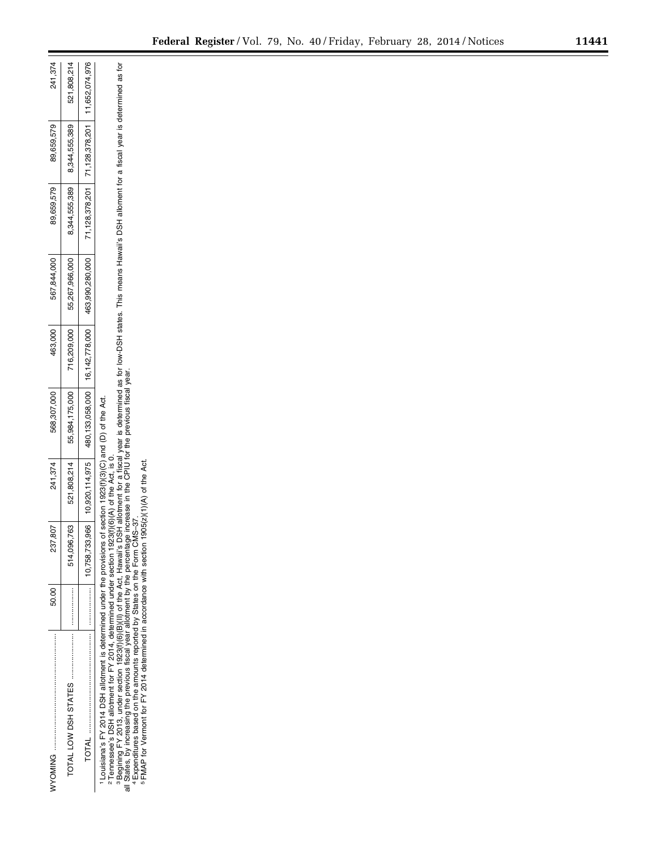|                                                                                                                                                                                                                                                                                                         | 807<br>237.     | 241,374                                      | 568,307,000                                                                         | 463,000     | 567,844,000    | 89,659,579 | 89,659,579                                   | 241,374     |
|---------------------------------------------------------------------------------------------------------------------------------------------------------------------------------------------------------------------------------------------------------------------------------------------------------|-----------------|----------------------------------------------|-------------------------------------------------------------------------------------|-------------|----------------|------------|----------------------------------------------|-------------|
|                                                                                                                                                                                                                                                                                                         | <br>514,096,763 | 521,808,214                                  | 55,984,175,000                                                                      | 716,209,000 | 55,267,966,000 |            | 8,344,555,389 8,344,555,389                  | 521,808,214 |
|                                                                                                                                                                                                                                                                                                         |                 |                                              | 0,758,733,966   10,920,114,975   480,133,058,000   16,142,778,000   463,990,280,000 |             |                |            | 71,128,378,201 71,128,378,201 11,652,074,976 |             |
| O The Although District Line of the Line of Manuscript Control in the Second Second Second Second Second Second Second Second Second Second Second Second Second Second Second Second Second Second Second Second Second Secon<br>1Louisiana's FY 2014 DSH allotment is determined under the provisions |                 | of section 1923(f)(3)(C) and (D) of the Act. |                                                                                     |             |                |            |                                              |             |

2Tennessee's DSH allotment for FY 2014, determined under section 1923(f)(6)(A) of the Áct, is 0.<br>a Begining FY 2013, under section 1923(f)(8)[8](ll) of the Act, Hawaii's DSH allotment for a fiscal year is determined and t BBegining FY 2013, under section 1923(f)(6)(B)(II) of the Act, Hawaii's DSH allotment for a fiscal year is determined as fiscal year is determined as for a fiscal year is determined as for 2Tennessee's DSH allotment for FY 2014, determined under section 1923(f)(6)(A) of the Act, is 0.

all States, by increasing the previous fiscal year allotment by the percentage increase in the CPIU for the previous fiscal year.<br>"Expenditures based on the amounts reported by States on the Form CMS–37. 5FMAP for Vermont for FY 2014 determined in accordance with section 1905(z)(1)(A) of the Act.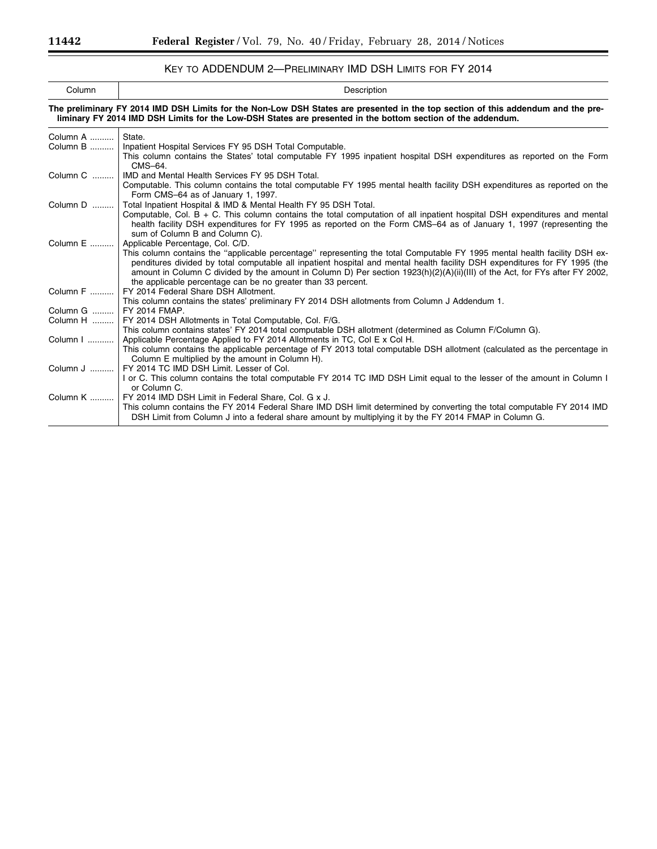# KEY TO ADDENDUM 2—PRELIMINARY IMD DSH LIMITS FOR FY 2014

| Column | Description                                                                                                                      |
|--------|----------------------------------------------------------------------------------------------------------------------------------|
|        | The preliminary FY 2014 IMD DSH Limits for the Non-Low DSH States are presented in the top section of this addendum and the pre- |

|          | liminary FY 2014 IMD DSH Limits for the Low-DSH States are presented in the bottom section of the addendum.                                                                                                                      |
|----------|----------------------------------------------------------------------------------------------------------------------------------------------------------------------------------------------------------------------------------|
| Column A | State.                                                                                                                                                                                                                           |
| Column B | Inpatient Hospital Services FY 95 DSH Total Computable.                                                                                                                                                                          |
|          | This column contains the States' total computable FY 1995 inpatient hospital DSH expenditures as reported on the Form                                                                                                            |
|          | CMS-64.                                                                                                                                                                                                                          |
|          | Column C    IMD and Mental Health Services FY 95 DSH Total.                                                                                                                                                                      |
|          | Computable. This column contains the total computable FY 1995 mental health facility DSH expenditures as reported on the                                                                                                         |
|          | Form CMS-64 as of January 1, 1997.                                                                                                                                                                                               |
| Column D | Total Inpatient Hospital & IMD & Mental Health FY 95 DSH Total.                                                                                                                                                                  |
|          | Computable, Col. $B + C$ . This column contains the total computation of all inpatient hospital DSH expenditures and mental                                                                                                      |
|          | health facility DSH expenditures for FY 1995 as reported on the Form CMS-64 as of January 1, 1997 (representing the                                                                                                              |
| Column E | sum of Column B and Column C).<br>Applicable Percentage, Col. C/D.                                                                                                                                                               |
|          | This column contains the "applicable percentage" representing the total Computable FY 1995 mental health facility DSH ex-                                                                                                        |
|          | penditures divided by total computable all inpatient hospital and mental health facility DSH expenditures for FY 1995 (the                                                                                                       |
|          | amount in Column C divided by the amount in Column D) Per section 1923(h)(2)(A)(ii)(III) of the Act, for FYs after FY 2002,                                                                                                      |
|          | the applicable percentage can be no greater than 33 percent.                                                                                                                                                                     |
|          | Column F    FY 2014 Federal Share DSH Allotment.                                                                                                                                                                                 |
|          | This column contains the states' preliminary FY 2014 DSH allotments from Column J Addendum 1.                                                                                                                                    |
| Column G | FY 2014 FMAP.                                                                                                                                                                                                                    |
| Column H | FY 2014 DSH Allotments in Total Computable, Col. F/G.                                                                                                                                                                            |
|          | This column contains states' FY 2014 total computable DSH allotment (determined as Column F/Column G).                                                                                                                           |
| Column I | Applicable Percentage Applied to FY 2014 Allotments in TC, Col E x Col H.                                                                                                                                                        |
|          | This column contains the applicable percentage of FY 2013 total computable DSH allotment (calculated as the percentage in                                                                                                        |
|          | Column E multiplied by the amount in Column H).                                                                                                                                                                                  |
| Column J | FY 2014 TC IMD DSH Limit. Lesser of Col.                                                                                                                                                                                         |
|          | I or C. This column contains the total computable FY 2014 TC IMD DSH Limit equal to the lesser of the amount in Column I                                                                                                         |
|          | or Column C.                                                                                                                                                                                                                     |
|          | Column K    FY 2014 IMD DSH Limit in Federal Share, Col. G x J.                                                                                                                                                                  |
|          | This column contains the FY 2014 Federal Share IMD DSH limit determined by converting the total computable FY 2014 IMD<br>DSH Limit from Column J into a federal share amount by multiplying it by the FY 2014 FMAP in Column G. |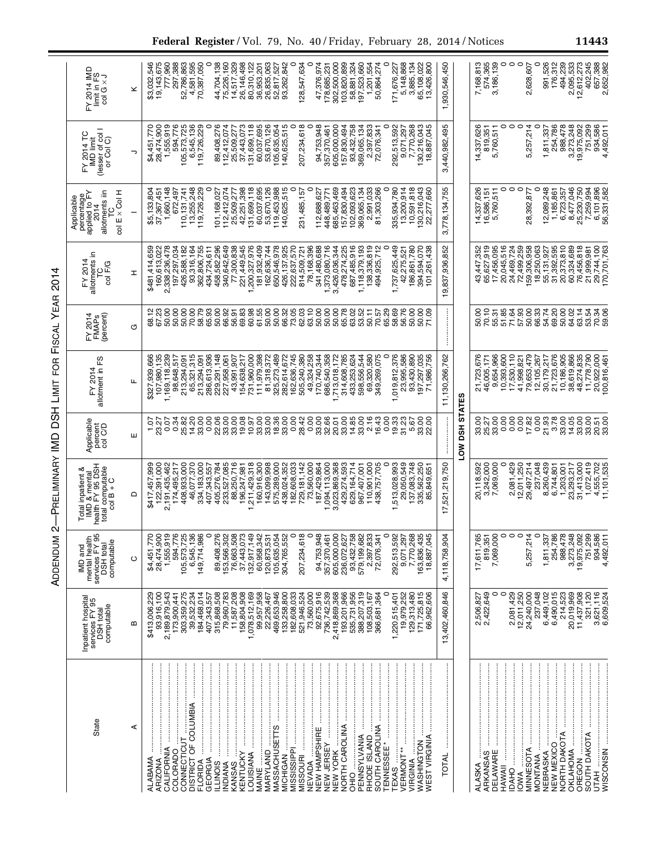| ì<br>֧֦֧֦֧֦֧֦֧֦֧֧֦֧֧֦֧֧֦֧֧֦֧֧֦֧֚֬֜֓֓֜֓֓֜֓֜֓֓֜֓<br>֧֪֝֡ |
|--------------------------------------------------------|
| $\frac{1}{2}$<br>ו<br>ו                                |
| I                                                      |
| ۱                                                      |
| ;<br>;<br>;<br>;<br>ı                                  |
| J<br>$\vdots$<br>:<br>ו<br>ו<br>ı                      |

|                            |                                                                                                       |   | Federal Register / Vol. 79, No. 40 / Friday, February 28, 2014 / Notices                                                                                                                                                                                                                                                                                                                                                                                                                                                                                        |                    |                                                                                                                                                                       | 11443                                                                                                                                |
|----------------------------|-------------------------------------------------------------------------------------------------------|---|-----------------------------------------------------------------------------------------------------------------------------------------------------------------------------------------------------------------------------------------------------------------------------------------------------------------------------------------------------------------------------------------------------------------------------------------------------------------------------------------------------------------------------------------------------------------|--------------------|-----------------------------------------------------------------------------------------------------------------------------------------------------------------------|--------------------------------------------------------------------------------------------------------------------------------------|
|                            | $FY$ 2014 IMD<br>limit in FS<br>col G $\times J$                                                      | × | 19,143,675<br>777,960<br>297,388<br>52,786,863<br>4,581,595<br>70,387,050<br>44,704,138<br>75,226,160<br>14,517,329<br>26,146,498<br>26,835,063<br>0<br>0<br>47,376,974<br>302,500,000<br>103,820,899<br>58,881,324<br>97,523,660<br>$\circ$<br>5,148,868<br>\$3,032,546<br>80,310,122<br>36,953,201<br>52,817,527<br>93,262,842<br>28,547,634<br>1,201,554<br>50,864,274<br>3,885,134<br>65,108,022<br>178,685,231<br>171,676,227<br>13,426,800                                                                                                                | 1,930,546,450      | 7,168,813<br>574,365<br>3,186,139<br>0<br>991,526<br>176,312<br>0<br>$\circ$<br>$\circ$<br>494,239<br>2,095,533<br>12,612,273<br>2,628,607                            | 402,245<br>657,388<br>2,652,982                                                                                                      |
|                            | (lesser of col I)<br>or Col C)<br>FY 2014 TC<br>IMD limit                                             | っ | 131,699,118<br>60,037,695<br>53,670,126<br>40,625,515<br>0<br>207,234,618<br>\$4,451,770<br>28,474,900<br>1,555,919<br>594,776<br>105,573,725<br>6,545,136<br>119,726,229<br>0<br>89,408,276<br>112,412,074<br>25,509,277<br>37,443,073<br>05,635,054<br>c<br>94,753,948<br>2,397,833<br>292,513,592<br>9,071,297<br>7,770,268<br>130,216,043<br>605,000,000<br>157,830,494<br>93,432,758<br>18,887,045<br>369,065,134<br>357,370,461<br>72,076,341                                                                                                             | 3,440,982,495      | 0<br>$\circ$<br>$\circ$<br>5,257,214<br>0<br>254,786<br>988,478<br>14,337,626<br>819,351<br>5,760,511<br>3,273,248<br>1,811,337                                       | 19,975,092<br>751,299<br>934,586<br>4,492,011                                                                                        |
|                            | col E x Col H<br>allotments iin<br>percentage<br>applied to FY<br>Applicable<br>2014<br>P             |   | 131,699,118<br>60,037,695<br>53,670,126<br>1,660,148<br>13,255,248<br>119,726,229<br>$\circ$<br>101, 168, 027<br>112, 412, 074<br>25, 509, 277<br>42, 251, 398<br>119,453,988<br>140,625,515<br>0<br>0<br>685,463,469<br>157,830,494<br>102,093,623<br>369,065,134<br>2,991,033<br>81,303,266<br>0<br>335,934,780<br>$13,200,914\n10,591,818\n130,216,043\n22,277,660$<br>231,485,157<br>\$5,133,804<br>37,367,451<br>672.497<br>110, 131, 741<br>112,688,627<br>448,489,771                                                                                    | 3,778,134,755      | 14,337,626<br>16,586,151<br>5,760,511<br>$\circ$<br>$\circ$<br>$\circ$<br>12,089,248<br>P.<br>28,392,                                                                 | $\begin{array}{l} 1,185,861 \\ 6,723,357 \\ 8,477,046 \\ 25,230,760 \\ 7,259,994 \\ 7,259,994 \\ 6,101,896 \\ 6,331,582 \end{array}$ |
| 2014                       | allotments in<br>FY 2014<br>TC<br>col F/G                                                             | I | 650,546,978<br>426, 137, 925<br>222, 637, 570<br>78,168,396<br>,373,080,716<br>687,485,916<br>1,118,379,193<br>186,861,780<br>394,594,070<br>362,806,755<br>458,582,296<br>340,642,649<br>77,300,838<br>221,449,545<br>1,200,327,976<br>181,932,409<br>341,480,688<br>3,426,036,344<br>478,274,225<br>,336,819<br>$\mathbf{\alpha}$<br>1,737,625,449<br>101,261,438<br>2,338,236,478<br>426,588,182<br>93,316,164<br>162,636,744<br>0<br>\$481,414,659<br>42,275,521<br>160,613,022<br>197,297,034<br>814,509,721<br>434,724,611<br>494,925,71<br>138,          | 19,837,936,852     | 20,045,516<br>24,469,724<br>72,499,259<br>159,306,958<br>18,250,063<br>55,131,927<br>31,392,595<br>21,373,810<br>65,627,919<br>17,456,095<br>60,324,689<br>43,447,352 | 76,456,818<br>29,744,100<br>170,701,763<br>21,999,981                                                                                |
| FISCAL YEAR                | 2014<br>FMAP <sub>S</sub><br>(percent)<br>≿                                                           | O | 885000336500<br>8560083600<br>85666786<br>000082871<br>000082871<br>0000000<br>68.12<br>67.23<br>50.00<br>50.00<br>50.00<br>70.00<br>58.79<br>65.93<br>50.00<br>66.92<br>56.91<br>69.83<br>70.57<br>65.29<br>58.69<br>56.76<br>50.00<br>71.09                                                                                                                                                                                                                                                                                                                   |                    | 50.00<br>70.10<br>50.00<br>64.02<br>55.31                                                                                                                             | $14480$<br>$34480$<br>$65340$                                                                                                        |
| FOR                        | allotment in FS<br>FY 2014                                                                            | щ | 93,430,890<br>197,297,035<br>71,986,756<br>213,294,091<br>65,321,315<br>731,960,000<br>111,979,398<br>325,273,489<br>282,614,672<br>162,636,745<br>505,240,380<br>258<br>686,540,358<br>785<br>580<br>0<br>376<br>586<br>107,980,135<br>239<br>286,613,936<br>229,291,148<br>81,318,372<br>49,324,258<br>170,740,344<br>172<br>624<br>544<br>269,075<br>666<br>98,648,517<br>227,958,061<br>43,991,907<br>154,638,217<br>213,294,091<br>\$327,939,<br>433,253,<br>23,995,<br>1,169,118,<br>713,018,<br>314,608,<br>598,556,<br>69,320,<br>1,019,812,<br>349,    | 11,130,266,762     | 9654,966<br>10,393,600<br>17,539,821<br>41,998,821<br>79,653,479<br>12,105,267<br>30,179,217<br>21,723,676<br>10,186,905<br>38,619,866<br>21,723,676<br>46,005,171    | 48,274,835<br>11,778,790<br>20,922,000<br>100,816,461                                                                                |
|                            | Applicable<br>percent<br>col C/D                                                                      | Ш | 32.66<br>22.06<br>33.00<br>19.08<br>10.97<br>33.00<br>8<br>8888488<br>88988<br>33.00<br>14.85<br>33.00<br>19.33<br>0.34<br>25.82<br>14.20<br>33.00<br>0.00<br>20.01<br>16.43<br>0.00<br>31.23<br>5.67<br>33.00<br>23.27<br>22.00<br>1.07                                                                                                                                                                                                                                                                                                                        | DSH STATES<br>NO-1 | 33.00<br>21.93<br>3.78<br>33.05<br>33.00<br>25.27                                                                                                                     | ខុខ<br>ភូនីភូ<br>ភូនីង                                                                                                               |
| -PRELIMINARY IMD DSH LIMIT | Total inpatient &<br>IMD & mental<br>health FY 95 DSH<br>total computable<br>col B + C<br><b>Real</b> | ≏ | 29,050,549<br>137,083,748<br>335,562,250<br>405,276,784<br>233,527,085<br>88,250,716<br>196,247,981<br>,211,429,318<br>160,916,300<br>143,099,998<br>575,289,000<br>438,024,352<br>182,608,033<br>729, 181, 142<br>73, 560, 000<br>187,429,864<br>094,113,000<br>,513,028,993<br>$\begin{array}{c} 174,495,217\\ 408,933,000\\ 408,933,000\\ 46,077,370\\ 334,183,000\\ 407,343,557 \end{array}$<br>023,869,368<br>429,274,593<br>629, 164, 714<br>110,901,000<br>438,757,705<br>122,391,000<br>2,191,435,462<br>\$417,457,999<br>967,407,001<br>85,849,65<br>Ē | 521,219,750<br>N   | 3,242,000<br>2,081,429<br>12,011,250<br>29,497,214<br>237,048<br>8,260,439<br>6,744,801<br>7,069,000<br>1,203,001<br>23,293,217<br>20,118,592                         | 1,072,419<br>31,413,000<br>4,555,702<br>11,101,535                                                                                   |
| ADDENDUM <sub>2</sub>      | mental health<br>services FY 95<br>DSH total<br>computable<br>IMD and                                 | ပ | 1,555,919<br>594,776<br>105,573,725<br>6,545,136<br>76,663,508<br>37,443,073<br>132,917,149<br>60,958,342<br>105,635,054<br>207,234,618<br>$\circ$<br>94,753,948<br>357,370,461<br>605,000,000<br>93,432,758<br>7,770,268<br>28,474,900<br>149,714,986<br>89,408,276<br>153,566,302<br>304,765,552<br>579,199,682<br>2,397,833<br>0<br>292,513,592<br>9,071,297<br>163,836,435<br>18,887,045<br>\$4,451,770<br>120,873,531<br>236,072,627<br>72,076,341                                                                                                         | 4,118,758,904      | 7,069,000<br>$\circ$<br>$\circ$<br>5,257,214<br>$\circ$<br>254,786<br>988,478<br>3,273,248<br>17,611,765<br>819,351<br>0<br>1,811,337                                 | 751,299<br>19,975,092<br>934,586<br>4,492,011                                                                                        |
|                            | Inpatient hospital<br>services FY 95<br>computable<br><b>DSH</b> total                                | ∞ | 133,258,800<br>182,608,033<br>92,675,916<br>2,418,869,368<br>193,201,966<br>535,731,956<br>388,207,319<br>129, 313, 480<br>171, 725, 815<br>66, 962, 606<br>\$413,006,229<br>93,916,100<br>2,189,879,543<br>79,960,783<br>158,804,908<br>1,078,512,169<br>99,957,958<br>469,653,946<br>521,946,524<br>73,560,000<br>736,742,539<br>0<br>19,979,252<br>303, 359, 275<br>315,868,508<br>11,587,208<br>1,220,515,401<br>39,532,234<br>184,468,014<br>407,343,557<br>22,226,467<br>108,503,167<br>366,681,364<br>173,900,441                                        | 13,402,460,846     | 2,506,827<br>2,422,649<br>2,081,429<br>12,011,250<br>24,240,000<br>237,048<br>6,449,102<br>6,490,015<br>214,523<br>20,019,969<br>0<br>o                               | 11,437,908<br>321,120<br>3,621,116<br>6,609,524                                                                                      |
|                            | State                                                                                                 | ⋖ | CONNECTICUT<br>DISTRICT OF COLUMBIA<br>LENDIS<br>LENDIS<br>LENDIS<br>MANAS ANTARUS<br>MARYLAND<br>MARYLAND<br>MARYLAND<br>MARYLAND<br>MASSISSIPPI<br>MESSEE PRODUCE BLAND<br>MENUSCIENT CAROLINA<br>PENNSYLVANIA<br>PENNSYLVANIA<br>PENNSYLVANIA<br>PENNSYLVAN<br>Anizya)<br>CALIFORNIA<br>COLORADO<br>ALABAMA<br><b>ARIZONA</b>                                                                                                                                                                                                                                | TOTAL              | ARKANSAS<br>DELAWARE<br>DAMAI<br>DAMAI<br>DAMAI COMA<br>NEW TANA<br>NEW MEXICO<br>NEW MEXICO<br>NEW MEXICO<br>NEW MEXICO<br>ALASKA                                    | SOUTH DAKOTA<br>UTAH                                                                                                                 |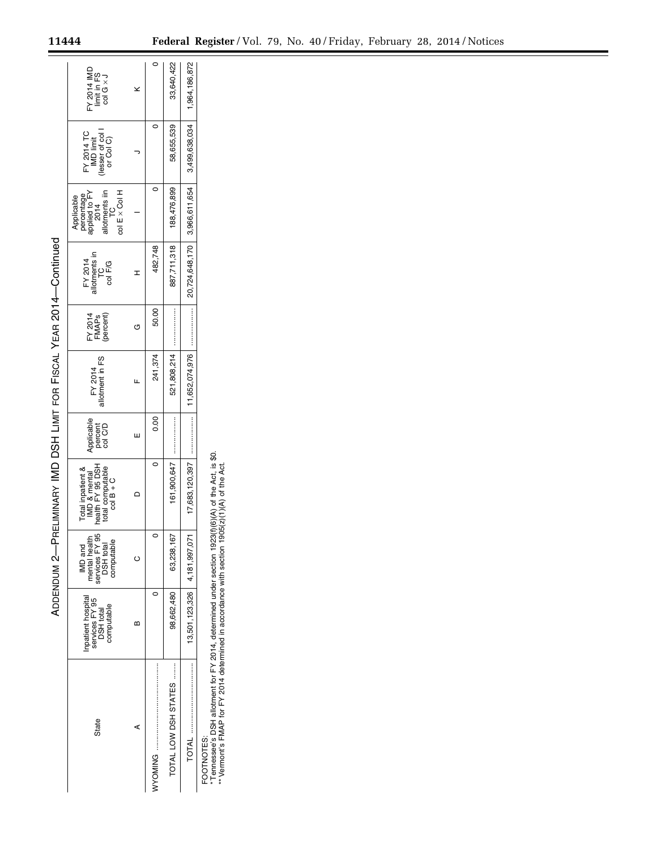| $FY$ 2014 IMD<br>limit in FS<br>col G $\times J$                                               |   |         | 33,640,422           | 1,964,186,872                    |
|------------------------------------------------------------------------------------------------|---|---------|----------------------|----------------------------------|
| FY 2014 TC<br>IMD limit<br>(lesser of col)<br>or Col C)                                        |   |         | 58,655,539           | 3,499,638,034                    |
| col E x Col H<br>allotments iin<br>TC<br>Applicable<br>percentage<br>applied to FY<br>and 2014 |   |         | 188,476,899          | 20,724,648,170   3,966,611,654   |
| FY 2014<br>allotments in<br>TC<br>col F/G                                                      |   | 482,748 | 887,711,318          |                                  |
| FY 2014<br>FMAPs<br>(percent)                                                                  |   | 50.00   |                      | :<br>:::::::::::::               |
| FY 2014<br>allotment in FS                                                                     |   | 241,374 | 521,808,214          | 1,652,074,976                    |
| Applicable<br>percent<br>col C/D                                                               | ш | 0.00    |                      |                                  |
| IMD & mental<br>nealth FY 95 DSH<br>total computable<br>col B + C<br>Total inpatient &         |   |         | 161,900,647          | 7,683,120,397                    |
| IMD and<br>mental health<br>services FY 95<br>DSH total<br>DSH total                           |   | C       | 63,238,167           |                                  |
| Inpatient hospital<br>services FY 95<br>DSH total<br>computable                                | ≃ |         | 98,662,480           | $13,501,123,326$ 4, 181, 997, 07 |
| State                                                                                          | ⋖ |         | TOTAL LOW DSH STATES |                                  |

ADDENDUM 2—PRELIMINARY IMD DSH LIMIT FOR

ADDENDUM 2-PRELIMINARY IMD DSH LIMIT FOR FISCAL YEAR 2014-Continued

YEAR 2014—Continued

FOOTNOTES:

FOOTNOTES:<br>\*Tennessee's DSH allotment for FY 2014, determined under section 1923(f)(6)(A) of the Act, is \$0.<br>\*\*Vermont's FMAP for FY 2014 determined in accordance with section 1905(2)(1)(A) of the Act. \* Tennessee's DSH allotment for FY 2014, determined under section 1923(f)(6)(A) of the Act, is \$0. \*\* Vermont's FMAP for FY 2014 determined in accordance with section 1905(z)(1)(A) of the Act.